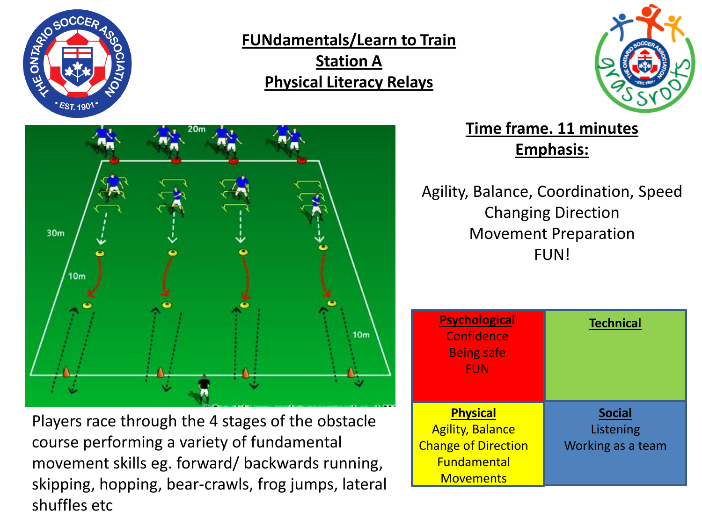

**FUNdamentals/Learn to Train Station A Physical Literacy Relays**





Players race through the 4 stages of the obstacle course performing a variety of fundamental movement skills eg. forward/ backwards running, skipping, hopping, bear-crawls, frog jumps, lateral shuffles etc

**Time frame. 11 minutes Emphasis:**

Agility, Balance, Coordination, Speed Changing Direction Movement Preparation FUN!

| <b>Psychological</b><br>Confidence<br><b>Being safe</b><br><b>FUN</b>    | <b>Technical</b>                                |
|--------------------------------------------------------------------------|-------------------------------------------------|
| <b>Physical</b><br><b>Agility, Balance</b><br><b>Change of Direction</b> | <b>Social</b><br>Listening<br>Working as a team |
| <b>Fundamental</b><br><b>Movements</b>                                   |                                                 |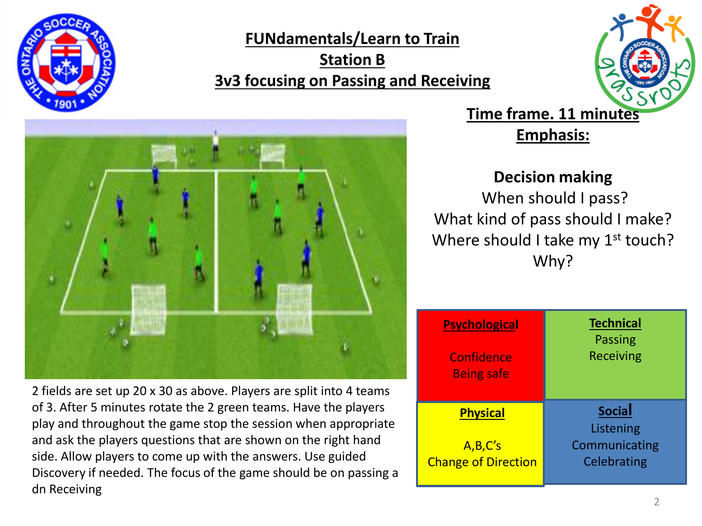

**FUNdamentals/Learn to Train Station B 3v3 focusing on Passing and Receiving**





2 fields are set up 20 x 30 as above. Players are split into 4 teams of 3. After 5 minutes rotate the 2 green teams. Have the players play and throughout the game stop the session when appropriate and ask the players questions that are shown on the right hand side. Allow players to come up with the answers. Use guided Discovery if needed. The focus of the game should be on passing a dn Receiving

**Time frame. 11 minutes**

**Emphasis:**

## **Decision making**

When should I pass? What kind of pass should I make? Where should I take my 1<sup>st</sup> touch? Why?

| <b>Psychological</b>       | <b>Technical</b>           |
|----------------------------|----------------------------|
| Confidence                 | <b>Passing</b>             |
| <b>Being safe</b>          | <b>Receiving</b>           |
| <b>Physical</b>            | <b>Social</b><br>Listening |
| A,B,C's                    | Communicating              |
| <b>Change of Direction</b> | Celebrating                |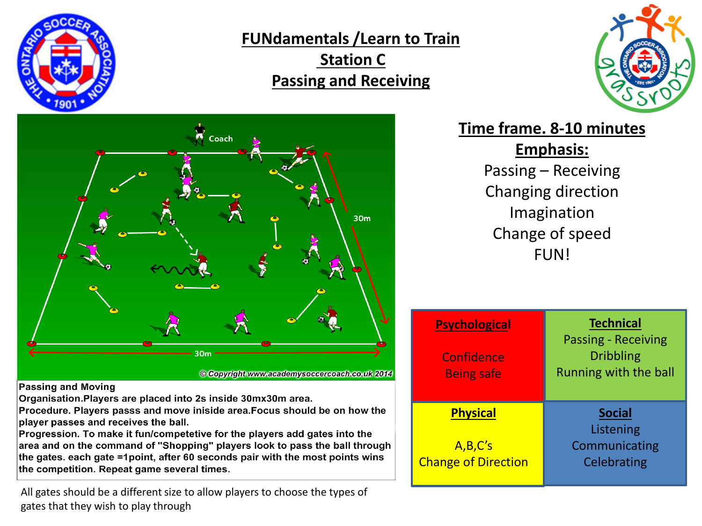

**FUNdamentals /Learn to Train Station C Passing and Receiving** 





**Time frame. 8-10 minutes Emphasis:** Passing – Receiving Changing direction Imagination

Change of speed FUN!

| <b>Psychological</b><br>Confidence<br><b>Being safe</b>  | <b>Technical</b><br><b>Passing - Receiving</b><br><b>Dribbling</b><br>Running with the ball |
|----------------------------------------------------------|---------------------------------------------------------------------------------------------|
| <b>Physical</b><br>A,B,C's<br><b>Change of Direction</b> | <b>Social</b><br>Listening<br>Communicating<br>Celebrating                                  |

**Passing and Moving** 

Organisation. Players are placed into 2s inside 30mx30m area.

Procedure. Players passs and move iniside area. Focus should be on how the player passes and receives the ball.

Progression. To make it fun/competetive for the players add gates into the area and on the command of "Shopping" players look to pass the ball through the gates. each gate =1point, after 60 seconds pair with the most points wins the competition. Repeat game several times.

All gates should be a different size to allow players to choose the types of gates that they wish to play through